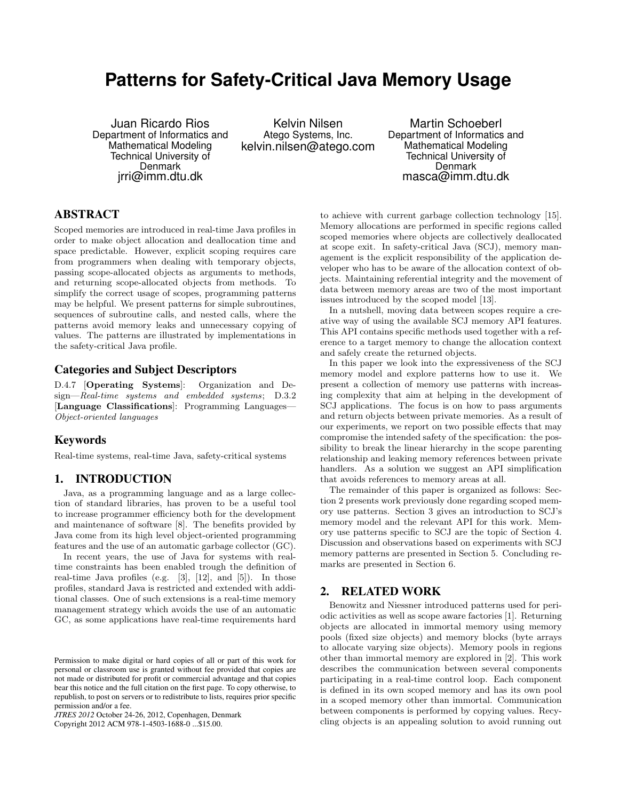# **Patterns for Safety-Critical Java Memory Usage**

Juan Ricardo Rios Department of Informatics and Mathematical Modeling Technical University of Denmark jrri@imm.dtu.dk

Kelvin Nilsen Atego Systems, Inc. kelvin.nilsen@atego.com

Martin Schoeberl Department of Informatics and Mathematical Modeling Technical University of Denmark masca@imm.dtu.dk

# ABSTRACT

Scoped memories are introduced in real-time Java profiles in order to make object allocation and deallocation time and space predictable. However, explicit scoping requires care from programmers when dealing with temporary objects, passing scope-allocated objects as arguments to methods, and returning scope-allocated objects from methods. To simplify the correct usage of scopes, programming patterns may be helpful. We present patterns for simple subroutines, sequences of subroutine calls, and nested calls, where the patterns avoid memory leaks and unnecessary copying of values. The patterns are illustrated by implementations in the safety-critical Java profile.

### Categories and Subject Descriptors

D.4.7 [Operating Systems]: Organization and Design—Real-time systems and embedded systems; D.3.2 [Language Classifications]: Programming Languages-Object-oriented languages

# Keywords

Real-time systems, real-time Java, safety-critical systems

### 1. INTRODUCTION

Java, as a programming language and as a large collection of standard libraries, has proven to be a useful tool to increase programmer efficiency both for the development and maintenance of software [8]. The benefits provided by Java come from its high level object-oriented programming features and the use of an automatic garbage collector (GC).

In recent years, the use of Java for systems with realtime constraints has been enabled trough the definition of real-time Java profiles (e.g. [3], [12], and [5]). In those profiles, standard Java is restricted and extended with additional classes. One of such extensions is a real-time memory management strategy which avoids the use of an automatic GC, as some applications have real-time requirements hard

*JTRES 2012* October 24-26, 2012, Copenhagen, Denmark

Copyright 2012 ACM 978-1-4503-1688-0 ...\$15.00.

to achieve with current garbage collection technology [15]. Memory allocations are performed in specific regions called scoped memories where objects are collectively deallocated at scope exit. In safety-critical Java (SCJ), memory management is the explicit responsibility of the application developer who has to be aware of the allocation context of objects. Maintaining referential integrity and the movement of data between memory areas are two of the most important issues introduced by the scoped model [13].

In a nutshell, moving data between scopes require a creative way of using the available SCJ memory API features. This API contains specific methods used together with a reference to a target memory to change the allocation context and safely create the returned objects.

In this paper we look into the expressiveness of the SCJ memory model and explore patterns how to use it. We present a collection of memory use patterns with increasing complexity that aim at helping in the development of SCJ applications. The focus is on how to pass arguments and return objects between private memories. As a result of our experiments, we report on two possible effects that may compromise the intended safety of the specification: the possibility to break the linear hierarchy in the scope parenting relationship and leaking memory references between private handlers. As a solution we suggest an API simplification that avoids references to memory areas at all.

The remainder of this paper is organized as follows: Section 2 presents work previously done regarding scoped memory use patterns. Section 3 gives an introduction to SCJ's memory model and the relevant API for this work. Memory use patterns specific to SCJ are the topic of Section 4. Discussion and observations based on experiments with SCJ memory patterns are presented in Section 5. Concluding remarks are presented in Section 6.

# 2. RELATED WORK

Benowitz and Niessner introduced patterns used for periodic activities as well as scope aware factories [1]. Returning objects are allocated in immortal memory using memory pools (fixed size objects) and memory blocks (byte arrays to allocate varying size objects). Memory pools in regions other than immortal memory are explored in [2]. This work describes the communication between several components participating in a real-time control loop. Each component is defined in its own scoped memory and has its own pool in a scoped memory other than immortal. Communication between components is performed by copying values. Recycling objects is an appealing solution to avoid running out

Permission to make digital or hard copies of all or part of this work for personal or classroom use is granted without fee provided that copies are not made or distributed for profit or commercial advantage and that copies bear this notice and the full citation on the first page. To copy otherwise, to republish, to post on servers or to redistribute to lists, requires prior specific permission and/or a fee.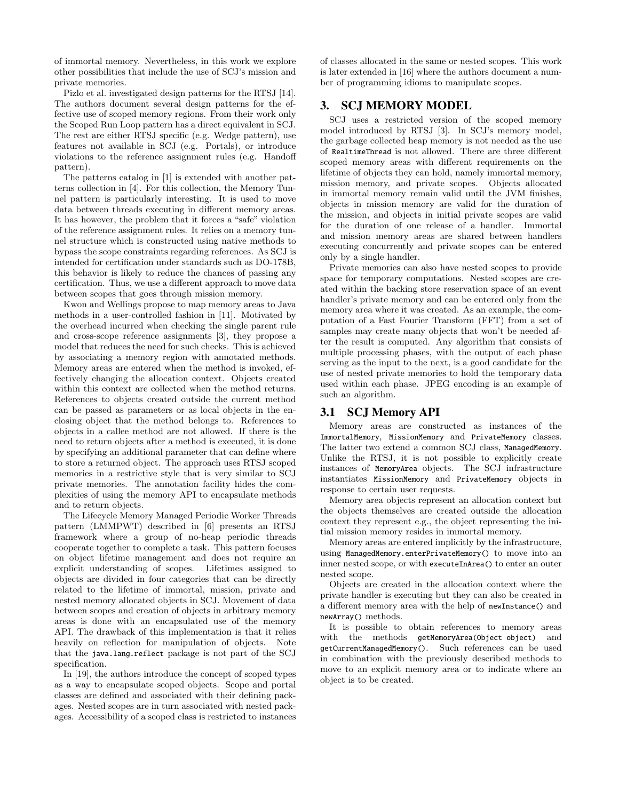of immortal memory. Nevertheless, in this work we explore other possibilities that include the use of SCJ's mission and private memories.

Pizlo et al. investigated design patterns for the RTSJ [14]. The authors document several design patterns for the effective use of scoped memory regions. From their work only the Scoped Run Loop pattern has a direct equivalent in SCJ. The rest are either RTSJ specific (e.g. Wedge pattern), use features not available in SCJ (e.g. Portals), or introduce violations to the reference assignment rules (e.g. Handoff pattern).

The patterns catalog in [1] is extended with another patterns collection in [4]. For this collection, the Memory Tunnel pattern is particularly interesting. It is used to move data between threads executing in different memory areas. It has however, the problem that it forces a "safe" violation of the reference assignment rules. It relies on a memory tunnel structure which is constructed using native methods to bypass the scope constraints regarding references. As SCJ is intended for certification under standards such as DO-178B, this behavior is likely to reduce the chances of passing any certification. Thus, we use a different approach to move data between scopes that goes through mission memory.

Kwon and Wellings propose to map memory areas to Java methods in a user-controlled fashion in [11]. Motivated by the overhead incurred when checking the single parent rule and cross-scope reference assignments [3], they propose a model that reduces the need for such checks. This is achieved by associating a memory region with annotated methods. Memory areas are entered when the method is invoked, effectively changing the allocation context. Objects created within this context are collected when the method returns. References to objects created outside the current method can be passed as parameters or as local objects in the enclosing object that the method belongs to. References to objects in a callee method are not allowed. If there is the need to return objects after a method is executed, it is done by specifying an additional parameter that can define where to store a returned object. The approach uses RTSJ scoped memories in a restrictive style that is very similar to SCJ private memories. The annotation facility hides the complexities of using the memory API to encapsulate methods and to return objects.

The Lifecycle Memory Managed Periodic Worker Threads pattern (LMMPWT) described in [6] presents an RTSJ framework where a group of no-heap periodic threads cooperate together to complete a task. This pattern focuses on object lifetime management and does not require an explicit understanding of scopes. Lifetimes assigned to objects are divided in four categories that can be directly related to the lifetime of immortal, mission, private and nested memory allocated objects in SCJ. Movement of data between scopes and creation of objects in arbitrary memory areas is done with an encapsulated use of the memory API. The drawback of this implementation is that it relies heavily on reflection for manipulation of objects. Note that the java.lang.reflect package is not part of the SCJ specification.

In [19], the authors introduce the concept of scoped types as a way to encapsulate scoped objects. Scope and portal classes are defined and associated with their defining packages. Nested scopes are in turn associated with nested packages. Accessibility of a scoped class is restricted to instances of classes allocated in the same or nested scopes. This work is later extended in [16] where the authors document a number of programming idioms to manipulate scopes.

## 3. SCJ MEMORY MODEL

SCJ uses a restricted version of the scoped memory model introduced by RTSJ [3]. In SCJ's memory model, the garbage collected heap memory is not needed as the use of RealtimeThread is not allowed. There are three different scoped memory areas with different requirements on the lifetime of objects they can hold, namely immortal memory, mission memory, and private scopes. Objects allocated in immortal memory remain valid until the JVM finishes, objects in mission memory are valid for the duration of the mission, and objects in initial private scopes are valid for the duration of one release of a handler. Immortal and mission memory areas are shared between handlers executing concurrently and private scopes can be entered only by a single handler.

Private memories can also have nested scopes to provide space for temporary computations. Nested scopes are created within the backing store reservation space of an event handler's private memory and can be entered only from the memory area where it was created. As an example, the computation of a Fast Fourier Transform (FFT) from a set of samples may create many objects that won't be needed after the result is computed. Any algorithm that consists of multiple processing phases, with the output of each phase serving as the input to the next, is a good candidate for the use of nested private memories to hold the temporary data used within each phase. JPEG encoding is an example of such an algorithm.

# 3.1 SCJ Memory API

Memory areas are constructed as instances of the ImmortalMemory, MissionMemory and PrivateMemory classes. The latter two extend a common SCJ class, ManagedMemory. Unlike the RTSJ, it is not possible to explicitly create instances of MemoryArea objects. The SCJ infrastructure instantiates MissionMemory and PrivateMemory objects in response to certain user requests.

Memory area objects represent an allocation context but the objects themselves are created outside the allocation context they represent e.g., the object representing the initial mission memory resides in immortal memory.

Memory areas are entered implicitly by the infrastructure, using ManagedMemory.enterPrivateMemory() to move into an inner nested scope, or with executeInArea() to enter an outer nested scope.

Objects are created in the allocation context where the private handler is executing but they can also be created in a different memory area with the help of newInstance() and newArray() methods.

It is possible to obtain references to memory areas with the methods getMemoryArea(Object object) and getCurrentManagedMemory(). Such references can be used in combination with the previously described methods to move to an explicit memory area or to indicate where an object is to be created.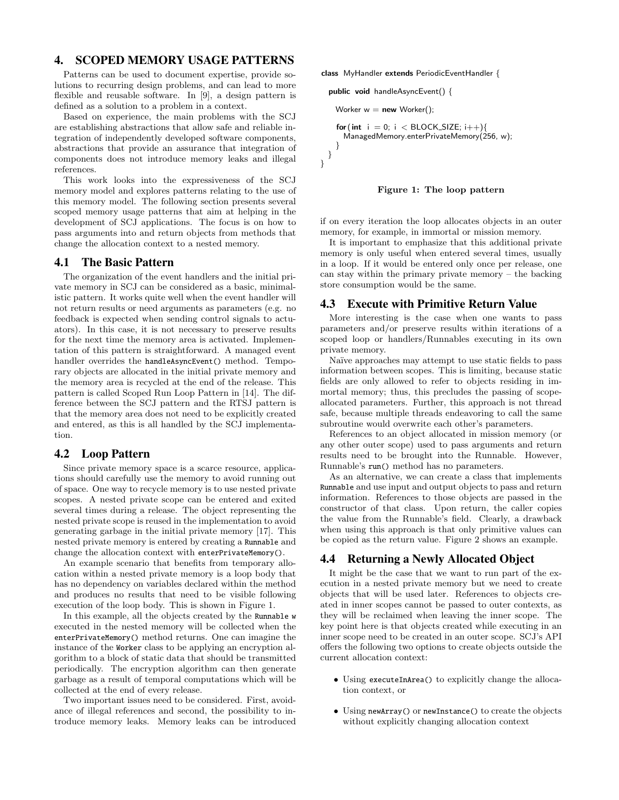# 4. SCOPED MEMORY USAGE PATTERNS

Patterns can be used to document expertise, provide solutions to recurring design problems, and can lead to more flexible and reusable software. In [9], a design pattern is defined as a solution to a problem in a context.

Based on experience, the main problems with the SCJ are establishing abstractions that allow safe and reliable integration of independently developed software components, abstractions that provide an assurance that integration of components does not introduce memory leaks and illegal references.

This work looks into the expressiveness of the SCJ memory model and explores patterns relating to the use of this memory model. The following section presents several scoped memory usage patterns that aim at helping in the development of SCJ applications. The focus is on how to pass arguments into and return objects from methods that change the allocation context to a nested memory.

### 4.1 The Basic Pattern

The organization of the event handlers and the initial private memory in SCJ can be considered as a basic, minimalistic pattern. It works quite well when the event handler will not return results or need arguments as parameters (e.g. no feedback is expected when sending control signals to actuators). In this case, it is not necessary to preserve results for the next time the memory area is activated. Implementation of this pattern is straightforward. A managed event handler overrides the handleAsyncEvent() method. Temporary objects are allocated in the initial private memory and the memory area is recycled at the end of the release. This pattern is called Scoped Run Loop Pattern in [14]. The difference between the SCJ pattern and the RTSJ pattern is that the memory area does not need to be explicitly created and entered, as this is all handled by the SCJ implementation.

#### 4.2 Loop Pattern

Since private memory space is a scarce resource, applications should carefully use the memory to avoid running out of space. One way to recycle memory is to use nested private scopes. A nested private scope can be entered and exited several times during a release. The object representing the nested private scope is reused in the implementation to avoid generating garbage in the initial private memory [17]. This nested private memory is entered by creating a Runnable and change the allocation context with enterPrivateMemory().

An example scenario that benefits from temporary allocation within a nested private memory is a loop body that has no dependency on variables declared within the method and produces no results that need to be visible following execution of the loop body. This is shown in Figure 1.

In this example, all the objects created by the Runnable w executed in the nested memory will be collected when the enterPrivateMemory() method returns. One can imagine the instance of the Worker class to be applying an encryption algorithm to a block of static data that should be transmitted periodically. The encryption algorithm can then generate garbage as a result of temporal computations which will be collected at the end of every release.

Two important issues need to be considered. First, avoidance of illegal references and second, the possibility to introduce memory leaks. Memory leaks can be introduced class MyHandler extends PeriodicEventHandler {

```
public void handleAsyncEvent() {
    Worker w = new Worker();
    for (int i = 0; i < BLOCK_SIZE; i++){
     ManagedMemory.enterPrivateMemory(256, w);
    }
 }
}
```


if on every iteration the loop allocates objects in an outer memory, for example, in immortal or mission memory.

It is important to emphasize that this additional private memory is only useful when entered several times, usually in a loop. If it would be entered only once per release, one can stay within the primary private memory – the backing store consumption would be the same.

#### 4.3 Execute with Primitive Return Value

More interesting is the case when one wants to pass parameters and/or preserve results within iterations of a scoped loop or handlers/Runnables executing in its own private memory.

Naïve approaches may attempt to use static fields to pass information between scopes. This is limiting, because static fields are only allowed to refer to objects residing in immortal memory; thus, this precludes the passing of scopeallocated parameters. Further, this approach is not thread safe, because multiple threads endeavoring to call the same subroutine would overwrite each other's parameters.

References to an object allocated in mission memory (or any other outer scope) used to pass arguments and return results need to be brought into the Runnable. However, Runnable's run() method has no parameters.

As an alternative, we can create a class that implements Runnable and use input and output objects to pass and return information. References to those objects are passed in the constructor of that class. Upon return, the caller copies the value from the Runnable's field. Clearly, a drawback when using this approach is that only primitive values can be copied as the return value. Figure 2 shows an example.

#### 4.4 Returning a Newly Allocated Object

It might be the case that we want to run part of the execution in a nested private memory but we need to create objects that will be used later. References to objects created in inner scopes cannot be passed to outer contexts, as they will be reclaimed when leaving the inner scope. The key point here is that objects created while executing in an inner scope need to be created in an outer scope. SCJ's API offers the following two options to create objects outside the current allocation context:

- Using executeInArea() to explicitly change the allocation context, or
- Using newArray() or newInstance() to create the objects without explicitly changing allocation context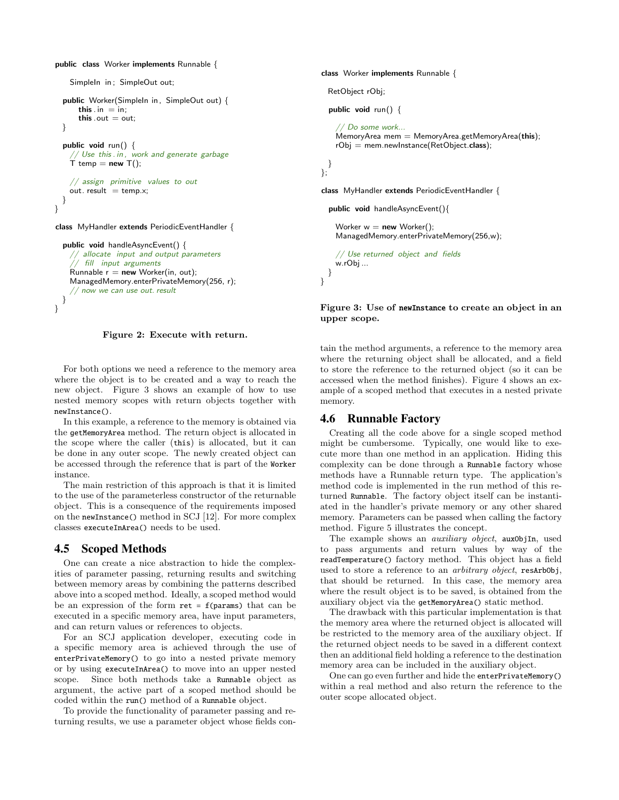public class Worker implements Runnable {

```
SimpleIn in; SimpleOut out;
  public Worker(SimpleIn in, SimpleOut out) {
      this \cdot in = in;
      this . out = out:
  }
  public void run() {
    // Use this . in , work and generate garbage
    T temp = new T();
     // assign primitive values to out
    out. result = temp.x;
  }
}
class MyHandler extends PeriodicEventHandler {
  public void handleAsyncEvent() {
      // allocate input and output parameters
```

```
// fill input arguments
  Runnable r = new Worker(in, out);
  ManagedMemory.enterPrivateMemory(256, r);
  // now we can use out. result
}
```
}

Figure 2: Execute with return.

For both options we need a reference to the memory area where the object is to be created and a way to reach the new object. Figure 3 shows an example of how to use nested memory scopes with return objects together with newInstance().

In this example, a reference to the memory is obtained via the getMemoryArea method. The return object is allocated in the scope where the caller (this) is allocated, but it can be done in any outer scope. The newly created object can be accessed through the reference that is part of the Worker instance.

The main restriction of this approach is that it is limited to the use of the parameterless constructor of the returnable object. This is a consequence of the requirements imposed on the newInstance() method in SCJ [12]. For more complex classes executeInArea() needs to be used.

### 4.5 Scoped Methods

One can create a nice abstraction to hide the complexities of parameter passing, returning results and switching between memory areas by combining the patterns described above into a scoped method. Ideally, a scoped method would be an expression of the form  $ret = f(params)$  that can be executed in a specific memory area, have input parameters, and can return values or references to objects.

For an SCJ application developer, executing code in a specific memory area is achieved through the use of enterPrivateMemory() to go into a nested private memory or by using executeInArea() to move into an upper nested scope. Since both methods take a Runnable object as argument, the active part of a scoped method should be coded within the run() method of a Runnable object.

To provide the functionality of parameter passing and returning results, we use a parameter object whose fields conclass Worker implements Runnable {

RetObject rObj;

public void run() {

```
// Do some work...
MemoryArea mem = MemoryArea.getMemoryArea(this);
rObj = mem.newInstance(RetObject.class);
```
} };

}

class MyHandler extends PeriodicEventHandler {

```
public void handleAsyncEvent(){
```
Worker  $w = new Worker()$ ; ManagedMemory.enterPrivateMemory(256,w);

```
// Use returned object and fields
  w.rObj ...
}
```
#### Figure 3: Use of newInstance to create an object in an upper scope.

tain the method arguments, a reference to the memory area where the returning object shall be allocated, and a field to store the reference to the returned object (so it can be accessed when the method finishes). Figure 4 shows an example of a scoped method that executes in a nested private memory.

#### 4.6 Runnable Factory

Creating all the code above for a single scoped method might be cumbersome. Typically, one would like to execute more than one method in an application. Hiding this complexity can be done through a Runnable factory whose methods have a Runnable return type. The application's method code is implemented in the run method of this returned Runnable. The factory object itself can be instantiated in the handler's private memory or any other shared memory. Parameters can be passed when calling the factory method. Figure 5 illustrates the concept.

The example shows an *auxiliary object*, auxObjIn, used to pass arguments and return values by way of the readTemperature() factory method. This object has a field used to store a reference to an *arbitrary object*, resArbObj, that should be returned. In this case, the memory area where the result object is to be saved, is obtained from the auxiliary object via the getMemoryArea() static method.

The drawback with this particular implementation is that the memory area where the returned object is allocated will be restricted to the memory area of the auxiliary object. If the returned object needs to be saved in a different context then an additional field holding a reference to the destination memory area can be included in the auxiliary object.

One can go even further and hide the enterPrivateMemory() within a real method and also return the reference to the outer scope allocated object.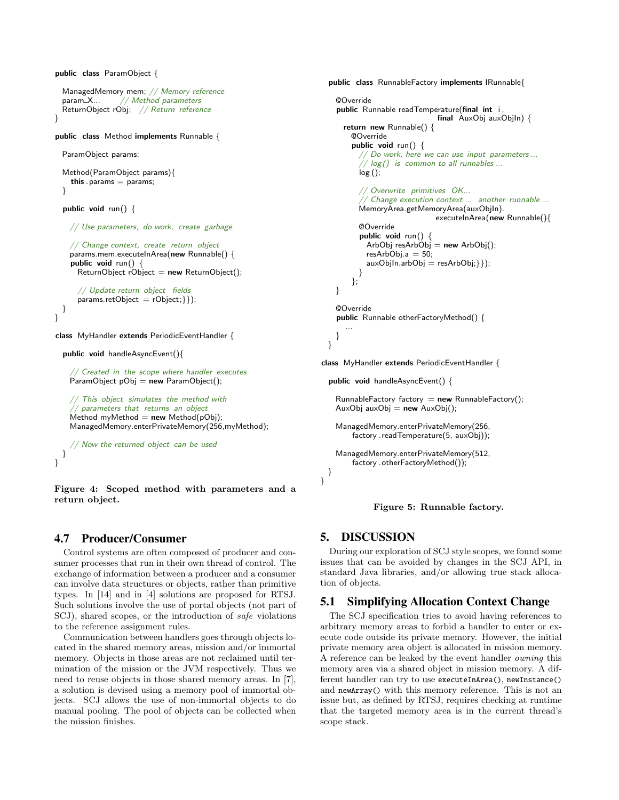```
public class ParamObject {
 ManagedMemory mem; // Memory reference
 param_X... // Method parameters
 ReturnObject rObj; // Return reference
}
public class Method implements Runnable {
 ParamObject params;
 Method(ParamObject params){
    this . params = params;
 }
 public void run() {
   // Use parameters, do work, create garbage
    // Change context, create return object
    p^2arams.mem.executeInArea(new Runnable() {
    public void run() {
     ReturnObject rObject = new ReturnObject();
      // Update return object fields
      params.retObject = rObject;\};
 }
}
class MyHandler extends PeriodicEventHandler {
 public void handleAsyncEvent(){
```
// Created in the scope where handler executes  $P$ aramObject pObj = new ParamObject();

```
// This object simulates the method with
// parameters that returns an object
Method myMethod = new Method(pObj);
ManagedMemory.enterPrivateMemory(256,myMethod);
```

```
// Now the returned object can be used
  }
}
```
Figure 4: Scoped method with parameters and a return object.

# 4.7 Producer/Consumer

Control systems are often composed of producer and consumer processes that run in their own thread of control. The exchange of information between a producer and a consumer can involve data structures or objects, rather than primitive types. In [14] and in [4] solutions are proposed for RTSJ. Such solutions involve the use of portal objects (not part of SCJ), shared scopes, or the introduction of safe violations to the reference assignment rules.

Communication between handlers goes through objects located in the shared memory areas, mission and/or immortal memory. Objects in those areas are not reclaimed until termination of the mission or the JVM respectively. Thus we need to reuse objects in those shared memory areas. In [7], a solution is devised using a memory pool of immortal objects. SCJ allows the use of non-immortal objects to do manual pooling. The pool of objects can be collected when the mission finishes.

```
public class RunnableFactory implements IRunnable{
   @Override
    public Runnable readTemperature(final int i,
                                final AuxObj auxObjIn) {
      return new Runnable() {
        @Override
        public void run() {
            // Do work, here we can use input parameters ...
           \sqrt{/} log() is common to all runnables ...log();
          // Overwrite primitives OK...
           \dot{\mathcal{C}} Change execution context \ldots another runnable \ldotsMemoryArea.getMemoryArea(auxObjIn).
                               executeInArea(new Runnable(){
          @Override
          public void run() {
            ArbObj resArbObj = new ArbObj();
            resArbObj.a = 50;auxObjIn.arbObj = resArbObj; \};
          }
        };
   }
    @Override
    public Runnable otherFactoryMethod() {
       ...
   }
 }
class MyHandler extends PeriodicEventHandler {
  public void handleAsyncEvent() {
```

```
RunnableFactory factory = new RunnableFactory();
AuxObj auxObj = new AuxObj);
```

```
ManagedMemory.enterPrivateMemory(256,
    factory . readTemperature(5, auxObj));
```

```
ManagedMemory.enterPrivateMemory(512,
    factory .otherFactoryMethod());
```
#### Figure 5: Runnable factory.

# 5. DISCUSSION

} }

During our exploration of SCJ style scopes, we found some issues that can be avoided by changes in the SCJ API, in standard Java libraries, and/or allowing true stack allocation of objects.

# 5.1 Simplifying Allocation Context Change

The SCJ specification tries to avoid having references to arbitrary memory areas to forbid a handler to enter or execute code outside its private memory. However, the initial private memory area object is allocated in mission memory. A reference can be leaked by the event handler owning this memory area via a shared object in mission memory. A different handler can try to use executeInArea(), newInstance() and newArray() with this memory reference. This is not an issue but, as defined by RTSJ, requires checking at runtime that the targeted memory area is in the current thread's scope stack.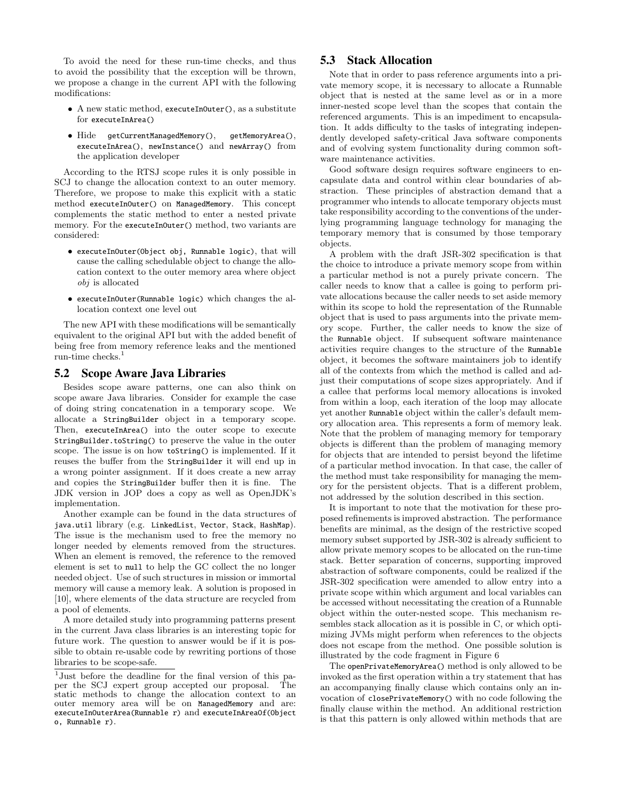To avoid the need for these run-time checks, and thus to avoid the possibility that the exception will be thrown, we propose a change in the current API with the following modifications:

- A new static method, executeInOuter(), as a substitute for executeInArea()
- Hide getCurrentManagedMemory(), getMemoryArea(), executeInArea(), newInstance() and newArray() from the application developer

According to the RTSJ scope rules it is only possible in SCJ to change the allocation context to an outer memory. Therefore, we propose to make this explicit with a static method executeInOuter() on ManagedMemory. This concept complements the static method to enter a nested private memory. For the executeInOuter() method, two variants are considered:

- executeInOuter(Object obj, Runnable logic), that will cause the calling schedulable object to change the allocation context to the outer memory area where object obj is allocated
- executeInOuter(Runnable logic) which changes the allocation context one level out

The new API with these modifications will be semantically equivalent to the original API but with the added benefit of being free from memory reference leaks and the mentioned run-time checks. $1$ 

### 5.2 Scope Aware Java Libraries

Besides scope aware patterns, one can also think on scope aware Java libraries. Consider for example the case of doing string concatenation in a temporary scope. We allocate a StringBuilder object in a temporary scope. Then, executeInArea() into the outer scope to execute StringBuilder.toString() to preserve the value in the outer scope. The issue is on how toString() is implemented. If it reuses the buffer from the StringBuilder it will end up in a wrong pointer assignment. If it does create a new array and copies the StringBuilder buffer then it is fine. The JDK version in JOP does a copy as well as OpenJDK's implementation.

Another example can be found in the data structures of java.util library (e.g. LinkedList, Vector, Stack, HashMap). The issue is the mechanism used to free the memory no longer needed by elements removed from the structures. When an element is removed, the reference to the removed element is set to null to help the GC collect the no longer needed object. Use of such structures in mission or immortal memory will cause a memory leak. A solution is proposed in [10], where elements of the data structure are recycled from a pool of elements.

A more detailed study into programming patterns present in the current Java class libraries is an interesting topic for future work. The question to answer would be if it is possible to obtain re-usable code by rewriting portions of those libraries to be scope-safe.

### 5.3 Stack Allocation

Note that in order to pass reference arguments into a private memory scope, it is necessary to allocate a Runnable object that is nested at the same level as or in a more inner-nested scope level than the scopes that contain the referenced arguments. This is an impediment to encapsulation. It adds difficulty to the tasks of integrating independently developed safety-critical Java software components and of evolving system functionality during common software maintenance activities.

Good software design requires software engineers to encapsulate data and control within clear boundaries of abstraction. These principles of abstraction demand that a programmer who intends to allocate temporary objects must take responsibility according to the conventions of the underlying programming language technology for managing the temporary memory that is consumed by those temporary objects.

A problem with the draft JSR-302 specification is that the choice to introduce a private memory scope from within a particular method is not a purely private concern. The caller needs to know that a callee is going to perform private allocations because the caller needs to set aside memory within its scope to hold the representation of the Runnable object that is used to pass arguments into the private memory scope. Further, the caller needs to know the size of the Runnable object. If subsequent software maintenance activities require changes to the structure of the Runnable object, it becomes the software maintainers job to identify all of the contexts from which the method is called and adjust their computations of scope sizes appropriately. And if a callee that performs local memory allocations is invoked from within a loop, each iteration of the loop may allocate yet another Runnable object within the caller's default memory allocation area. This represents a form of memory leak. Note that the problem of managing memory for temporary objects is different than the problem of managing memory for objects that are intended to persist beyond the lifetime of a particular method invocation. In that case, the caller of the method must take responsibility for managing the memory for the persistent objects. That is a different problem, not addressed by the solution described in this section.

It is important to note that the motivation for these proposed refinements is improved abstraction. The performance benefits are minimal, as the design of the restrictive scoped memory subset supported by JSR-302 is already sufficient to allow private memory scopes to be allocated on the run-time stack. Better separation of concerns, supporting improved abstraction of software components, could be realized if the JSR-302 specification were amended to allow entry into a private scope within which argument and local variables can be accessed without necessitating the creation of a Runnable object within the outer-nested scope. This mechanism resembles stack allocation as it is possible in C, or which optimizing JVMs might perform when references to the objects does not escape from the method. One possible solution is illustrated by the code fragment in Figure 6

The openPrivateMemoryArea() method is only allowed to be invoked as the first operation within a try statement that has an accompanying finally clause which contains only an invocation of closePrivateMemory() with no code following the finally clause within the method. An additional restriction is that this pattern is only allowed within methods that are

<sup>1</sup> Just before the deadline for the final version of this paper the SCJ expert group accepted our proposal. The static methods to change the allocation context to an outer memory area will be on ManagedMemory and are: executeInOuterArea(Runnable r) and executeInAreaOf(Object o, Runnable r).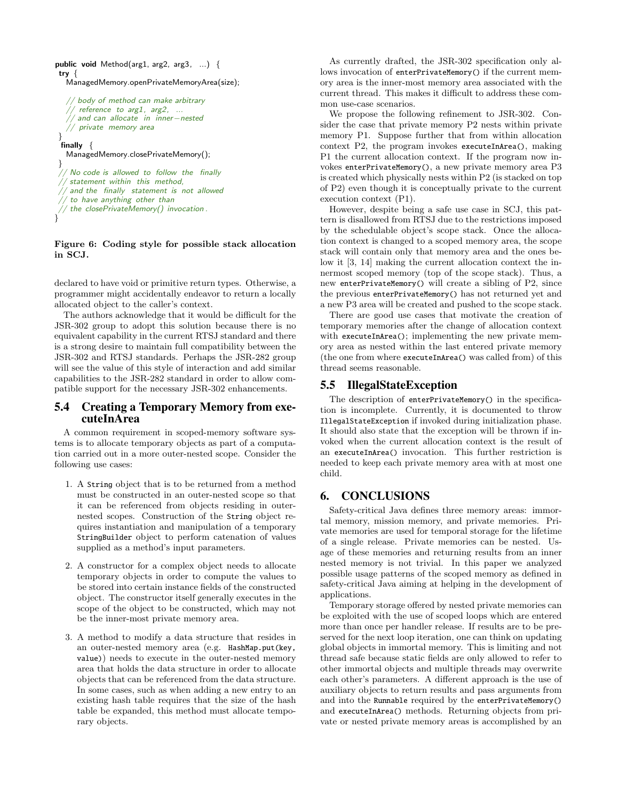```
public void Method(arg1, arg2, arg3, ...) {
try {
  ManagedMemory.openPrivateMemoryArea(size);
   // body of method can make arbitrary
   \frac{1}{2} reference to arg1, arg2, ...
   // and can allocate in inner−nested
   // private memory area
 }
 \intfinally \{ManagedMemory.closePrivateMemory();
 }
    No code is allowed to follow the finally
   statement within this method,
   and the finally statement is not allowed
   to have anything other than
 \sqrt{2}/ the closePrivateMemory() invocation.
}
```
#### Figure 6: Coding style for possible stack allocation in SCJ.

declared to have void or primitive return types. Otherwise, a programmer might accidentally endeavor to return a locally allocated object to the caller's context.

The authors acknowledge that it would be difficult for the JSR-302 group to adopt this solution because there is no equivalent capability in the current RTSJ standard and there is a strong desire to maintain full compatibility between the JSR-302 and RTSJ standards. Perhaps the JSR-282 group will see the value of this style of interaction and add similar capabilities to the JSR-282 standard in order to allow compatible support for the necessary JSR-302 enhancements.

# 5.4 Creating a Temporary Memory from executeInArea

A common requirement in scoped-memory software systems is to allocate temporary objects as part of a computation carried out in a more outer-nested scope. Consider the following use cases:

- 1. A String object that is to be returned from a method must be constructed in an outer-nested scope so that it can be referenced from objects residing in outernested scopes. Construction of the String object requires instantiation and manipulation of a temporary StringBuilder object to perform catenation of values supplied as a method's input parameters.
- 2. A constructor for a complex object needs to allocate temporary objects in order to compute the values to be stored into certain instance fields of the constructed object. The constructor itself generally executes in the scope of the object to be constructed, which may not be the inner-most private memory area.
- 3. A method to modify a data structure that resides in an outer-nested memory area (e.g. HashMap.put(key, value)) needs to execute in the outer-nested memory area that holds the data structure in order to allocate objects that can be referenced from the data structure. In some cases, such as when adding a new entry to an existing hash table requires that the size of the hash table be expanded, this method must allocate temporary objects.

As currently drafted, the JSR-302 specification only allows invocation of enterPrivateMemory() if the current memory area is the inner-most memory area associated with the current thread. This makes it difficult to address these common use-case scenarios.

We propose the following refinement to JSR-302. Consider the case that private memory P2 nests within private memory P1. Suppose further that from within allocation context P2, the program invokes executeInArea(), making P1 the current allocation context. If the program now invokes enterPrivateMemory(), a new private memory area P3 is created which physically nests within P2 (is stacked on top of P2) even though it is conceptually private to the current execution context (P1).

However, despite being a safe use case in SCJ, this pattern is disallowed from RTSJ due to the restrictions imposed by the schedulable object's scope stack. Once the allocation context is changed to a scoped memory area, the scope stack will contain only that memory area and the ones below it [3, 14] making the current allocation context the innermost scoped memory (top of the scope stack). Thus, a new enterPrivateMemory() will create a sibling of P2, since the previous enterPrivateMemory() has not returned yet and a new P3 area will be created and pushed to the scope stack.

There are good use cases that motivate the creation of temporary memories after the change of allocation context with executeInArea(); implementing the new private memory area as nested within the last entered private memory (the one from where executeInArea() was called from) of this thread seems reasonable.

### 5.5 IllegalStateException

The description of enterPrivateMemory() in the specification is incomplete. Currently, it is documented to throw IllegalStateException if invoked during initialization phase. It should also state that the exception will be thrown if invoked when the current allocation context is the result of an executeInArea() invocation. This further restriction is needed to keep each private memory area with at most one child.

### 6. CONCLUSIONS

Safety-critical Java defines three memory areas: immortal memory, mission memory, and private memories. Private memories are used for temporal storage for the lifetime of a single release. Private memories can be nested. Usage of these memories and returning results from an inner nested memory is not trivial. In this paper we analyzed possible usage patterns of the scoped memory as defined in safety-critical Java aiming at helping in the development of applications.

Temporary storage offered by nested private memories can be exploited with the use of scoped loops which are entered more than once per handler release. If results are to be preserved for the next loop iteration, one can think on updating global objects in immortal memory. This is limiting and not thread safe because static fields are only allowed to refer to other immortal objects and multiple threads may overwrite each other's parameters. A different approach is the use of auxiliary objects to return results and pass arguments from and into the Runnable required by the enterPrivateMemory() and executeInArea() methods. Returning objects from private or nested private memory areas is accomplished by an